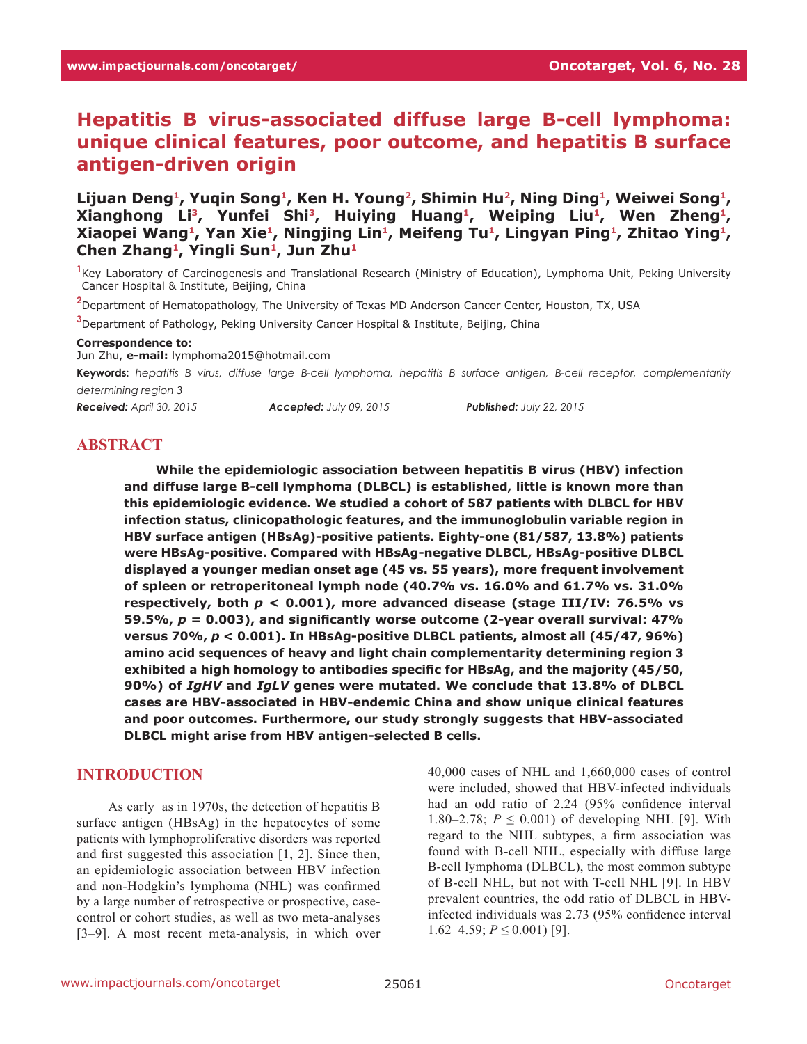# **Hepatitis B virus-associated diffuse large B-cell lymphoma: unique clinical features, poor outcome, and hepatitis B surface antigen-driven origin**

Lijuan Deng<sup>1</sup>, Yuqin Song<sup>1</sup>, Ken H. Young<sup>2</sup>, Shimin Hu<sup>2</sup>, Ning Ding<sup>1</sup>, Weiwei Song<sup>1</sup>, **Xianghong Li3, Yunfei Shi3, Huiying Huang1, Weiping Liu1, Wen Zheng1, Xiaopei Wang1, Yan Xie1, Ningjing Lin1, Meifeng Tu1, Lingyan Ping1, Zhitao Ying1,**  Chen Zhang<sup>1</sup>, Yingli Sun<sup>1</sup>, Jun Zhu<sup>1</sup>

**1** Key Laboratory of Carcinogenesis and Translational Research (Ministry of Education), Lymphoma Unit, Peking University Cancer Hospital & Institute, Beijing, China

**2** Department of Hematopathology, The University of Texas MD Anderson Cancer Center, Houston, TX, USA

**3** Department of Pathology, Peking University Cancer Hospital & Institute, Beijing, China

#### **Correspondence to:**

Jun Zhu, **e-mail:** lymphoma2015@hotmail.com

**Keywords:** *hepatitis B virus, diffuse large B-cell lymphoma, hepatitis B surface antigen, B-cell receptor, complementarity determining region 3*

*Received: April 30, 2015 Accepted: July 09, 2015 Published: July 22, 2015*

#### **ABSTRACT**

**While the epidemiologic association between hepatitis B virus (HBV) infection and diffuse large B-cell lymphoma (DLBCL) is established, little is known more than this epidemiologic evidence. We studied a cohort of 587 patients with DLBCL for HBV infection status, clinicopathologic features, and the immunoglobulin variable region in HBV surface antigen (HBsAg)-positive patients. Eighty-one (81/587, 13.8%) patients were HBsAg-positive. Compared with HBsAg-negative DLBCL, HBsAg-positive DLBCL displayed a younger median onset age (45 vs. 55 years), more frequent involvement of spleen or retroperitoneal lymph node (40.7% vs. 16.0% and 61.7% vs. 31.0% respectively, both** *p* **< 0.001), more advanced disease (stage III/IV: 76.5% vs 59.5%,** *p* **= 0.003), and significantly worse outcome (2-year overall survival: 47% versus 70%,** *p* **< 0.001). In HBsAg-positive DLBCL patients, almost all (45/47, 96%) amino acid sequences of heavy and light chain complementarity determining region 3 exhibited a high homology to antibodies specific for HBsAg, and the majority (45/50, 90%) of** *IgHV* **and** *IgLV* **genes were mutated. We conclude that 13.8% of DLBCL cases are HBV-associated in HBV-endemic China and show unique clinical features and poor outcomes. Furthermore, our study strongly suggests that HBV-associated DLBCL might arise from HBV antigen-selected B cells.**

#### **INTRODUCTION**

As early as in 1970s, the detection of hepatitis B surface antigen (HBsAg) in the hepatocytes of some patients with lymphoproliferative disorders was reported and first suggested this association [1, 2]. Since then, an epidemiologic association between HBV infection and non-Hodgkin's lymphoma (NHL) was confirmed by a large number of retrospective or prospective, casecontrol or cohort studies, as well as two meta-analyses [3–9]. A most recent meta-analysis, in which over

40,000 cases of NHL and 1,660,000 cases of control were included, showed that HBV-infected individuals had an odd ratio of 2.24 (95% confidence interval 1.80–2.78;  $P \le 0.001$ ) of developing NHL [9]. With regard to the NHL subtypes, a firm association was found with B-cell NHL, especially with diffuse large B-cell lymphoma (DLBCL), the most common subtype of B-cell NHL, but not with T-cell NHL [9]. In HBV prevalent countries, the odd ratio of DLBCL in HBVinfected individuals was 2.73 (95% confidence interval 1.62–4.59;  $P \le 0.001$ ) [9].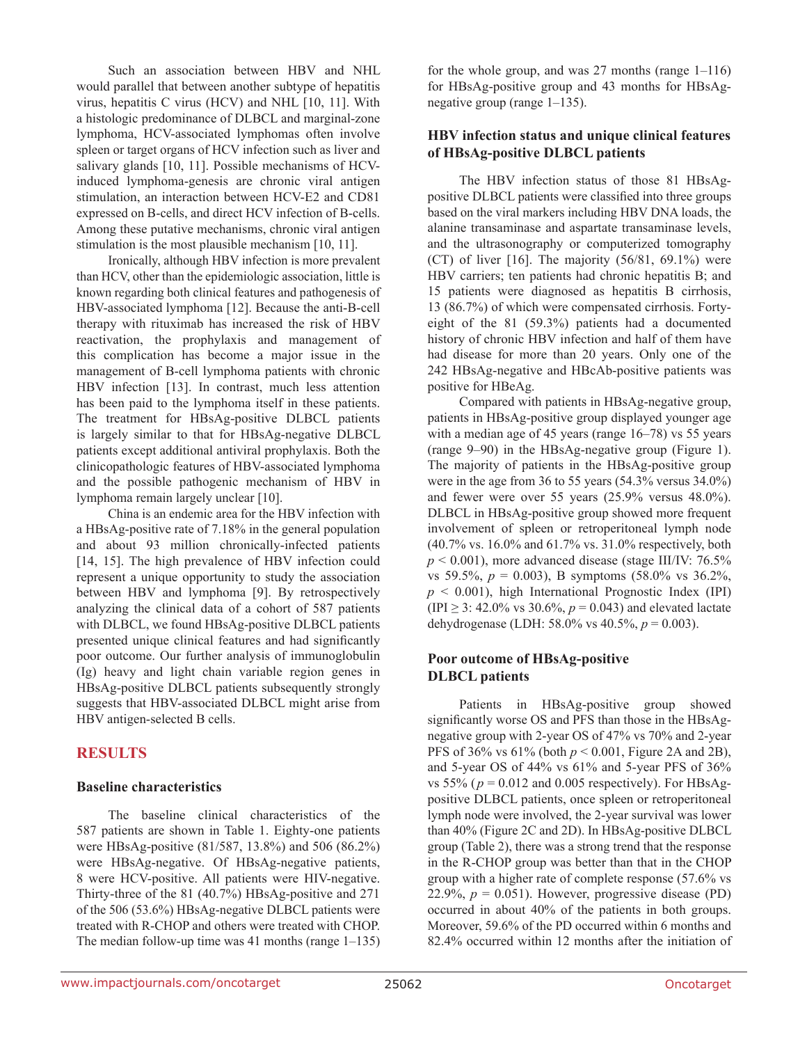Such an association between HBV and NHL would parallel that between another subtype of hepatitis virus, hepatitis C virus (HCV) and NHL [10, 11]. With a histologic predominance of DLBCL and marginal-zone lymphoma, HCV-associated lymphomas often involve spleen or target organs of HCV infection such as liver and salivary glands [10, 11]. Possible mechanisms of HCVinduced lymphoma-genesis are chronic viral antigen stimulation, an interaction between HCV-E2 and CD81 expressed on B-cells, and direct HCV infection of B-cells. Among these putative mechanisms, chronic viral antigen stimulation is the most plausible mechanism [10, 11].

Ironically, although HBV infection is more prevalent than HCV, other than the epidemiologic association, little is known regarding both clinical features and pathogenesis of HBV-associated lymphoma [12]. Because the anti-B-cell therapy with rituximab has increased the risk of HBV reactivation, the prophylaxis and management of this complication has become a major issue in the management of B-cell lymphoma patients with chronic HBV infection [13]. In contrast, much less attention has been paid to the lymphoma itself in these patients. The treatment for HBsAg-positive DLBCL patients is largely similar to that for HBsAg-negative DLBCL patients except additional antiviral prophylaxis. Both the clinicopathologic features of HBV-associated lymphoma and the possible pathogenic mechanism of HBV in lymphoma remain largely unclear [10].

China is an endemic area for the HBV infection with a HBsAg-positive rate of 7.18% in the general population and about 93 million chronically-infected patients [14, 15]. The high prevalence of HBV infection could represent a unique opportunity to study the association between HBV and lymphoma [9]. By retrospectively analyzing the clinical data of a cohort of 587 patients with DLBCL, we found HBsAg-positive DLBCL patients presented unique clinical features and had significantly poor outcome. Our further analysis of immunoglobulin (Ig) heavy and light chain variable region genes in HBsAg-positive DLBCL patients subsequently strongly suggests that HBV-associated DLBCL might arise from HBV antigen-selected B cells.

## **RESULTS**

### **Baseline characteristics**

The baseline clinical characteristics of the 587 patients are shown in Table 1. Eighty-one patients were HBsAg-positive (81/587, 13.8%) and 506 (86.2%) were HBsAg-negative. Of HBsAg-negative patients, 8 were HCV-positive. All patients were HIV-negative. Thirty-three of the 81 (40.7%) HBsAg-positive and 271 of the 506 (53.6%) HBsAg-negative DLBCL patients were treated with R-CHOP and others were treated with CHOP. The median follow-up time was 41 months (range 1–135) for the whole group, and was 27 months (range 1–116) for HBsAg-positive group and 43 months for HBsAgnegative group (range 1–135).

### **HBV infection status and unique clinical features of HBsAg-positive DLBCL patients**

The HBV infection status of those 81 HBsAgpositive DLBCL patients were classified into three groups based on the viral markers including HBV DNA loads, the alanine transaminase and aspartate transaminase levels, and the ultrasonography or computerized tomography (CT) of liver  $[16]$ . The majority  $(56/81, 69.1\%)$  were HBV carriers; ten patients had chronic hepatitis B; and 15 patients were diagnosed as hepatitis B cirrhosis, 13 (86.7%) of which were compensated cirrhosis. Fortyeight of the 81 (59.3%) patients had a documented history of chronic HBV infection and half of them have had disease for more than 20 years. Only one of the 242 HBsAg-negative and HBcAb-positive patients was positive for HBeAg.

Compared with patients in HBsAg-negative group, patients in HBsAg-positive group displayed younger age with a median age of 45 years (range 16–78) vs 55 years (range 9–90) in the HBsAg-negative group (Figure 1). The majority of patients in the HBsAg-positive group were in the age from 36 to 55 years (54.3% versus 34.0%) and fewer were over 55 years (25.9% versus 48.0%). DLBCL in HBsAg-positive group showed more frequent involvement of spleen or retroperitoneal lymph node (40.7% vs. 16.0% and 61.7% vs. 31.0% respectively, both  $p \le 0.001$ ), more advanced disease (stage III/IV: 76.5%) vs 59.5%, *p* = 0.003), B symptoms (58.0% vs 36.2%,  $p < 0.001$ ), high International Prognostic Index (IPI) (IPI  $\geq$  3: 42.0% vs 30.6%,  $p = 0.043$ ) and elevated lactate dehydrogenase (LDH: 58.0% vs 40.5%, *p* = 0.003).

### **Poor outcome of HBsAg-positive DLBCL patients**

Patients in HBsAg-positive group showed significantly worse OS and PFS than those in the HBsAgnegative group with 2-year OS of 47% vs 70% and 2-year PFS of 36% vs 61% (both *p* < 0.001, Figure 2A and 2B), and 5-year OS of 44% vs 61% and 5-year PFS of 36% vs 55% ( $p = 0.012$  and 0.005 respectively). For HBsAgpositive DLBCL patients, once spleen or retroperitoneal lymph node were involved, the 2-year survival was lower than 40% (Figure 2C and 2D). In HBsAg-positive DLBCL group (Table 2), there was a strong trend that the response in the R-CHOP group was better than that in the CHOP group with a higher rate of complete response (57.6% vs 22.9%,  $p = 0.051$ ). However, progressive disease (PD) occurred in about 40% of the patients in both groups. Moreover, 59.6% of the PD occurred within 6 months and 82.4% occurred within 12 months after the initiation of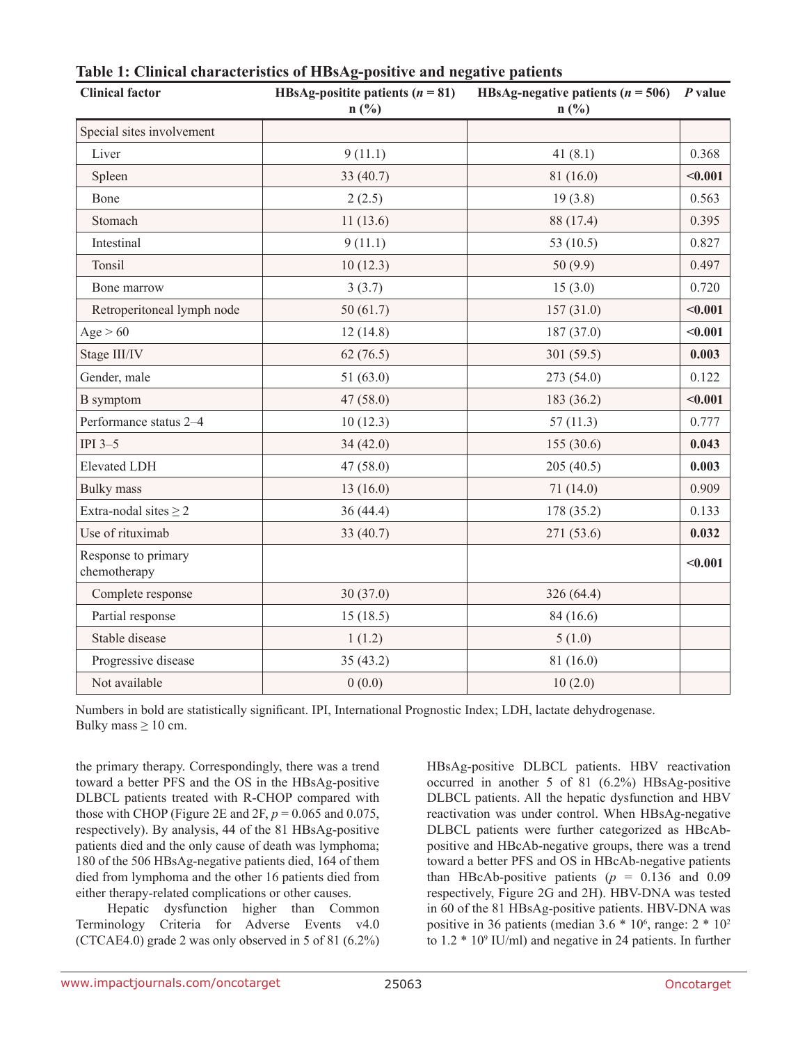| <b>Clinical factor</b>              | HBsAg-positite patients $(n = 81)$<br>$n(^{0}/_{0})$ | HBsAg-negative patients $(n = 506)$ P value<br>$n(^{0}/_{0})$ |         |  |
|-------------------------------------|------------------------------------------------------|---------------------------------------------------------------|---------|--|
| Special sites involvement           |                                                      |                                                               |         |  |
| Liver                               | 9(11.1)                                              | 41(8.1)                                                       | 0.368   |  |
| Spleen                              | 33 $(40.7)$                                          | 81(16.0)                                                      | < 0.001 |  |
| Bone                                | 2(2.5)                                               | 19(3.8)                                                       | 0.563   |  |
| Stomach                             | 11(13.6)                                             | 88 (17.4)                                                     | 0.395   |  |
| Intestinal                          | 9(11.1)                                              | 53 (10.5)                                                     | 0.827   |  |
| Tonsil                              | 10(12.3)                                             | 50(9.9)                                                       | 0.497   |  |
| Bone marrow                         | 3(3.7)                                               | 15(3.0)                                                       | 0.720   |  |
| Retroperitoneal lymph node          | 50(61.7)                                             | 157(31.0)                                                     | < 0.001 |  |
| Age > 60                            | 12(14.8)                                             | 187 (37.0)                                                    | < 0.001 |  |
| Stage III/IV                        | 62(76.5)                                             | 301(59.5)                                                     | 0.003   |  |
| Gender, male                        | 51 $(63.0)$                                          | 273 (54.0)                                                    | 0.122   |  |
| <b>B</b> symptom                    | 47(58.0)                                             | 183 (36.2)                                                    | < 0.001 |  |
| Performance status 2-4              | 10(12.3)                                             | 57(11.3)                                                      | 0.777   |  |
| IPI $3-5$                           | 34(42.0)                                             | 155(30.6)                                                     | 0.043   |  |
| <b>Elevated LDH</b>                 | 47(58.0)                                             | 205(40.5)                                                     | 0.003   |  |
| <b>Bulky</b> mass                   | 13(16.0)                                             | 71(14.0)                                                      | 0.909   |  |
| Extra-nodal sites $\geq 2$          | 36(44.4)                                             | 178 (35.2)                                                    | 0.133   |  |
| Use of rituximab                    | 33 (40.7)                                            | 271 (53.6)                                                    | 0.032   |  |
| Response to primary<br>chemotherapy |                                                      |                                                               | < 0.001 |  |
| Complete response                   | 30(37.0)                                             | 326 (64.4)                                                    |         |  |
| Partial response                    | 15(18.5)                                             | 84 (16.6)                                                     |         |  |
| Stable disease                      | 1(1.2)                                               | 5(1.0)                                                        |         |  |
| Progressive disease                 | 35(43.2)                                             | 81(16.0)                                                      |         |  |
| Not available                       | 0(0.0)                                               | 10(2.0)                                                       |         |  |

## **Table 1: Clinical characteristics of HBsAg-positive and negative patients**

Numbers in bold are statistically significant. IPI, International Prognostic Index; LDH, lactate dehydrogenase. Bulky mass  $\geq 10$  cm.

the primary therapy. Correspondingly, there was a trend toward a better PFS and the OS in the HBsAg-positive DLBCL patients treated with R-CHOP compared with those with CHOP (Figure 2E and 2F,  $p = 0.065$  and 0.075, respectively). By analysis, 44 of the 81 HBsAg-positive patients died and the only cause of death was lymphoma; 180 of the 506 HBsAg-negative patients died, 164 of them died from lymphoma and the other 16 patients died from either therapy-related complications or other causes.

Hepatic dysfunction higher than Common Terminology Criteria for Adverse Events v4.0 (CTCAE4.0) grade 2 was only observed in 5 of 81 (6.2%) HBsAg-positive DLBCL patients. HBV reactivation occurred in another 5 of 81 (6.2%) HBsAg-positive DLBCL patients. All the hepatic dysfunction and HBV reactivation was under control. When HBsAg-negative DLBCL patients were further categorized as HBcAbpositive and HBcAb-negative groups, there was a trend toward a better PFS and OS in HBcAb-negative patients than HBcAb-positive patients  $(p = 0.136$  and 0.09 respectively, Figure 2G and 2H). HBV-DNA was tested in 60 of the 81 HBsAg-positive patients. HBV-DNA was positive in 36 patients (median  $3.6 * 10^6$ , range:  $2 * 10^2$ to  $1.2 * 10<sup>9</sup>$  IU/ml) and negative in 24 patients. In further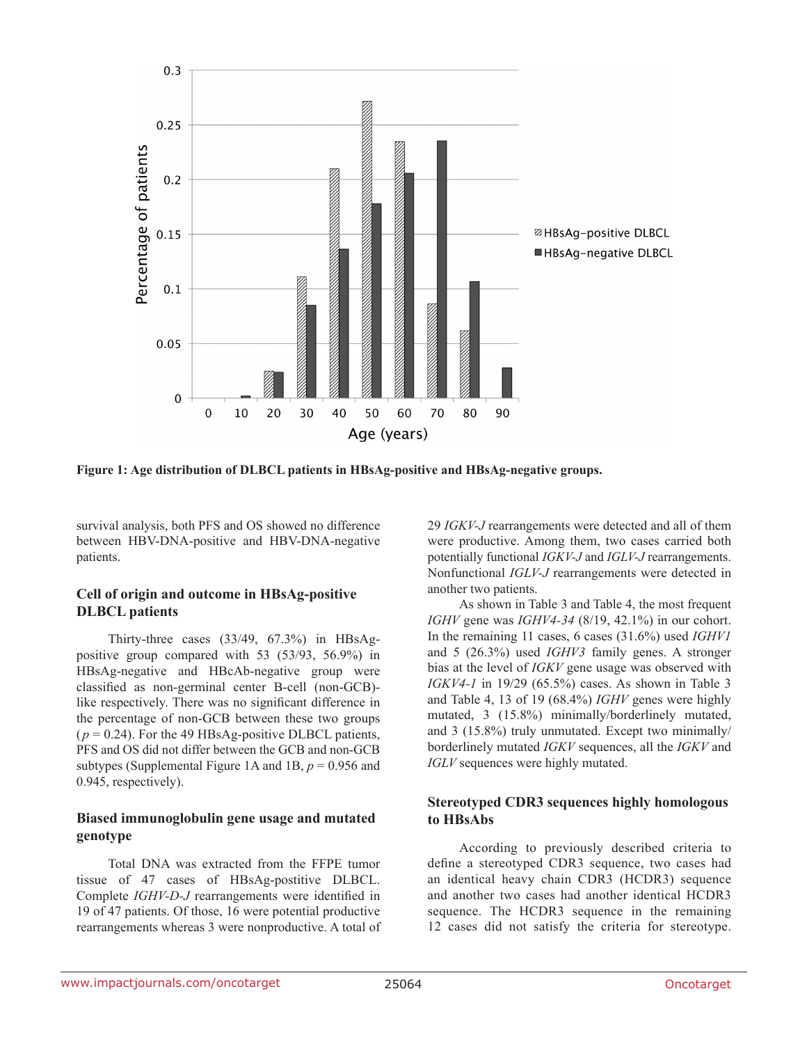

**Figure 1: Age distribution of DLBCL patients in HBsAg-positive and HBsAg-negative groups.** 

survival analysis, both PFS and OS showed no difference between HBV-DNA-positive and HBV-DNA-negative patients.

### **Cell of origin and outcome in HBsAg-positive DLBCL patients**

Thirty-three cases (33/49, 67.3%) in HBsAgpositive group compared with 53 (53/93, 56.9%) in HBsAg-negative and HBcAb-negative group were classified as non-germinal center B-cell (non-GCB) like respectively. There was no significant difference in the percentage of non-GCB between these two groups  $(p = 0.24)$ . For the 49 HBsAg-positive DLBCL patients, PFS and OS did not differ between the GCB and non-GCB subtypes (Supplemental Figure 1A and 1B, *p* = 0.956 and 0.945, respectively).

### **Biased immunoglobulin gene usage and mutated genotype**

Total DNA was extracted from the FFPE tumor tissue of 47 cases of HBsAg-postitive DLBCL. Complete *IGHV-D-J* rearrangements were identified in 19 of 47 patients. Of those, 16 were potential productive rearrangements whereas 3 were nonproductive. A total of 29 *IGKV-J* rearrangements were detected and all of them were productive. Among them, two cases carried both potentially functional *IGKV-J* and *IGLV-J* rearrangements. Nonfunctional *IGLV-J* rearrangements were detected in another two patients.

As shown in Table 3 and Table 4, the most frequent *IGHV* gene was *IGHV4-34* (8/19, 42.1%) in our cohort. In the remaining 11 cases, 6 cases (31.6%) used *IGHV1* and 5 (26.3%) used *IGHV3* family genes. A stronger bias at the level of *IGKV* gene usage was observed with *IGKV4-1* in 19/29 (65.5%) cases. As shown in Table 3 and Table 4, 13 of 19 (68.4%) *IGHV* genes were highly mutated, 3 (15.8%) minimally/borderlinely mutated, and 3 (15.8%) truly unmutated. Except two minimally/ borderlinely mutated *IGKV* sequences, all the *IGKV* and *IGLV* sequences were highly mutated.

## **Stereotyped CDR3 sequences highly homologous to HBsAbs**

According to previously described criteria to define a stereotyped CDR3 sequence, two cases had an identical heavy chain CDR3 (HCDR3) sequence and another two cases had another identical HCDR3 sequence. The HCDR3 sequence in the remaining 12 cases did not satisfy the criteria for stereotype.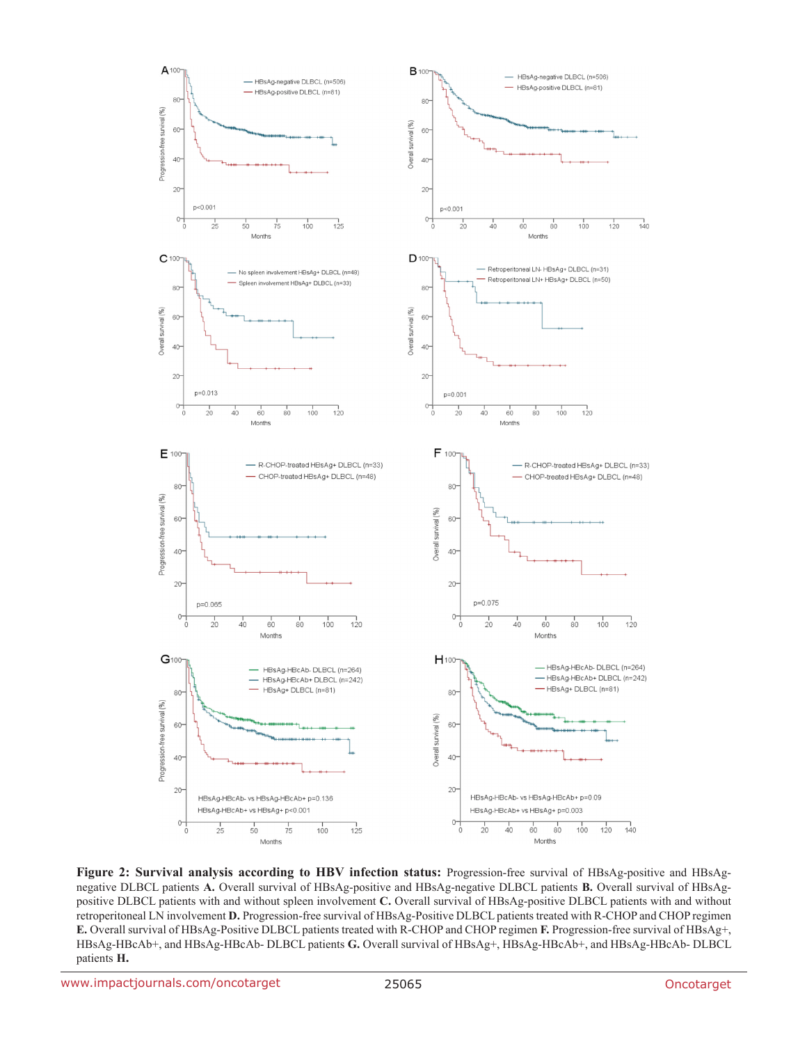

**Figure 2: Survival analysis according to HBV infection status:** Progression-free survival of HBsAg-positive and HBsAgnegative DLBCL patients **A.** Overall survival of HBsAg-positive and HBsAg-negative DLBCL patients **B.** Overall survival of HBsAgpositive DLBCL patients with and without spleen involvement **C.** Overall survival of HBsAg-positive DLBCL patients with and without retroperitoneal LN involvement **D.** Progression-free survival of HBsAg-Positive DLBCL patients treated with R-CHOP and CHOP regimen **E.** Overall survival of HBsAg-Positive DLBCL patients treated with R-CHOP and CHOP regimen **F.** Progression-free survival of HBsAg+, HBsAg-HBcAb+, and HBsAg-HBcAb- DLBCL patients **G.** Overall survival of HBsAg+, HBsAg-HBcAb+, and HBsAg-HBcAb- DLBCL patients **H.**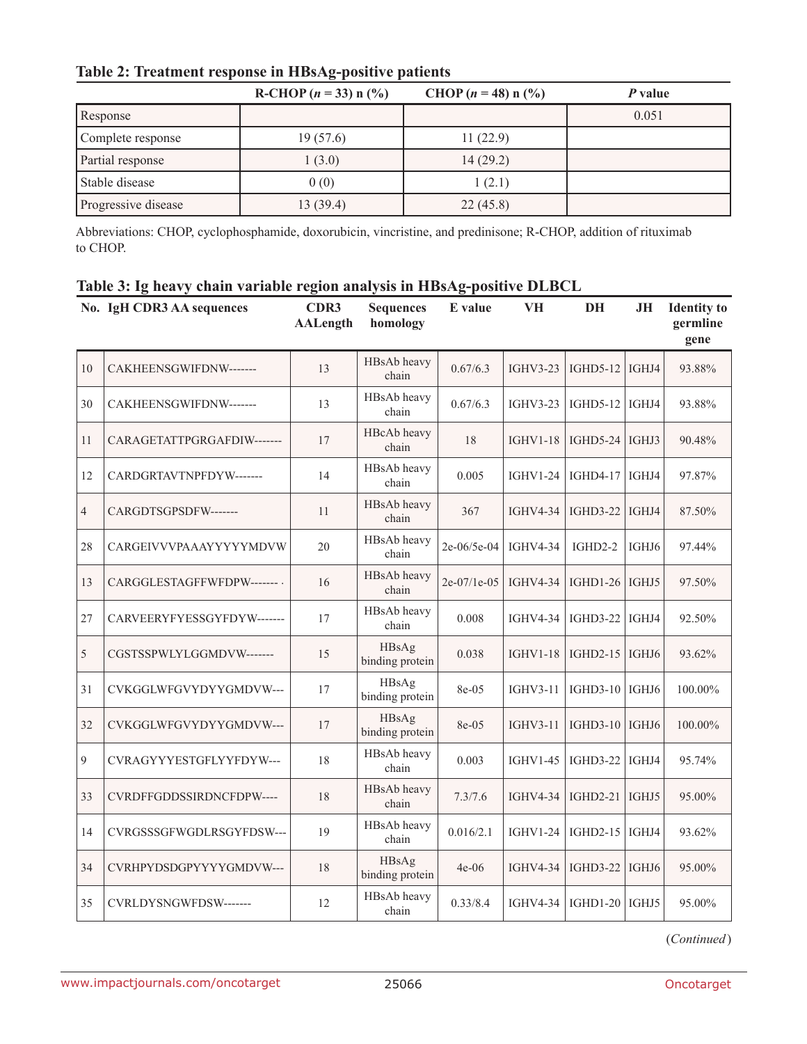| Table 2: Treatment response in HBsAg-positive patients |  |  |  |
|--------------------------------------------------------|--|--|--|
|--------------------------------------------------------|--|--|--|

|                     | R-CHOP $(n = 33)$ n $(\frac{9}{6})$ | CHOP $(n = 48)$ n $(\frac{9}{6})$ | P value |
|---------------------|-------------------------------------|-----------------------------------|---------|
| Response            |                                     |                                   | 0.051   |
| Complete response   | 19(57.6)                            | 11(22.9)                          |         |
| Partial response    | 1(3.0)                              | 14(29.2)                          |         |
| Stable disease      | 0(0)                                | 1(2.1)                            |         |
| Progressive disease | 13(39.4)                            | 22(45.8)                          |         |

Abbreviations: CHOP, cyclophosphamide, doxorubicin, vincristine, and predinisone; R-CHOP, addition of rituximab to CHOP.

|  |  |  |  | Table 3: Ig heavy chain variable region analysis in HBsAg-positive DLBCL |  |
|--|--|--|--|--------------------------------------------------------------------------|--|
|  |  |  |  |                                                                          |  |

|                | No. IgH CDR3 AA sequences  | CDR3<br><b>AALength</b> | <b>Sequences</b><br>homology | E value     | <b>VH</b>       | DH               | JН    | <b>Identity</b> to<br>germline<br>gene |
|----------------|----------------------------|-------------------------|------------------------------|-------------|-----------------|------------------|-------|----------------------------------------|
| 10             | CAKHEENSGWIFDNW-------     | 13                      | HBsAb heavy<br>chain         | 0.67/6.3    | <b>IGHV3-23</b> | $IGHD5-12$       | IGHJ4 | 93.88%                                 |
| 30             | CAKHEENSGWIFDNW-------     | 13                      | HBsAb heavy<br>chain         | 0.67/6.3    | <b>IGHV3-23</b> | $IGHD5-12$       | IGHJ4 | 93.88%                                 |
| 11             | CARAGETATTPGRGAFDIW------- | 17                      | HBcAb heavy<br>chain         | 18          | <b>IGHV1-18</b> | IGHD5-24   IGHJ3 |       | 90.48%                                 |
| 12             | CARDGRTAVTNPFDYW-------    | 14                      | HBsAb heavy<br>chain         | 0.005       | <b>IGHV1-24</b> | IGHD4-17         | IGHJ4 | 97.87%                                 |
| $\overline{4}$ | CARGDTSGPSDFW-------       | 11                      | HBsAb heavy<br>chain         | 367         | <b>IGHV4-34</b> | $IGHD3-22$       | IGHJ4 | 87.50%                                 |
| 28             | CARGEIVVVPAAAYYYYYMDVW     | 20                      | HBsAb heavy<br>chain         | 2e-06/5e-04 | <b>IGHV4-34</b> | IGHD2-2          | IGHJ6 | 97.44%                                 |
| 13             | CARGGLESTAGFFWFDPW-------- | 16                      | HBsAb heavy<br>chain         | 2e-07/1e-05 | <b>IGHV4-34</b> | $IGHD1-26$       | IGHJ5 | 97.50%                                 |
| 27             | CARVEERYFYESSGYFDYW------- | 17                      | HBsAb heavy<br>chain         | 0.008       | IGHV4-34        | $IGHD3-22$       | IGHJ4 | 92.50%                                 |
| 5              | CGSTSSPWLYLGGMDVW-------   | 15                      | HBsAg<br>binding protein     | 0.038       | <b>IGHV1-18</b> | $IGHD2-15$       | IGHJ6 | 93.62%                                 |
| 31             | CVKGGLWFGVYDYYGMDVW---     | 17                      | HBsAg<br>binding protein     | 8e-05       | $IGHV3-11$      | IGHD3-10   IGHJ6 |       | 100.00%                                |
| 32             | CVKGGLWFGVYDYYGMDVW---     | 17                      | HBsAg<br>binding protein     | 8e-05       | <b>IGHV3-11</b> | IGHD3-10   IGHJ6 |       | 100.00%                                |
| 9              | CVRAGYYYESTGFLYYFDYW---    | 18                      | HBsAb heavy<br>chain         | 0.003       | <b>IGHV1-45</b> | $IGHD3-22$       | IGHJ4 | 95.74%                                 |
| 33             | CVRDFFGDDSSIRDNCFDPW----   | 18                      | HBsAb heavy<br>chain         | 7.3/7.6     | <b>IGHV4-34</b> | <b>IGHD2-21</b>  | IGHJ5 | 95.00%                                 |
| 14             | CVRGSSSGFWGDLRSGYFDSW---   | 19                      | HBsAb heavy<br>chain         | 0.016/2.1   | <b>IGHV1-24</b> | $IGHD2-15$       | IGHJ4 | 93.62%                                 |
| 34             | CVRHPYDSDGPYYYYGMDVW---    | 18                      | HBsAg<br>binding protein     | $4e-06$     | <b>IGHV4-34</b> | <b>IGHD3-22</b>  | IGHJ6 | 95.00%                                 |
| 35             | CVRLDYSNGWFDSW-------      | 12                      | HBsAb heavy<br>chain         | 0.33/8.4    | IGHV4-34        | IGHD1-20   IGHJ5 |       | 95.00%                                 |

(*Continued*)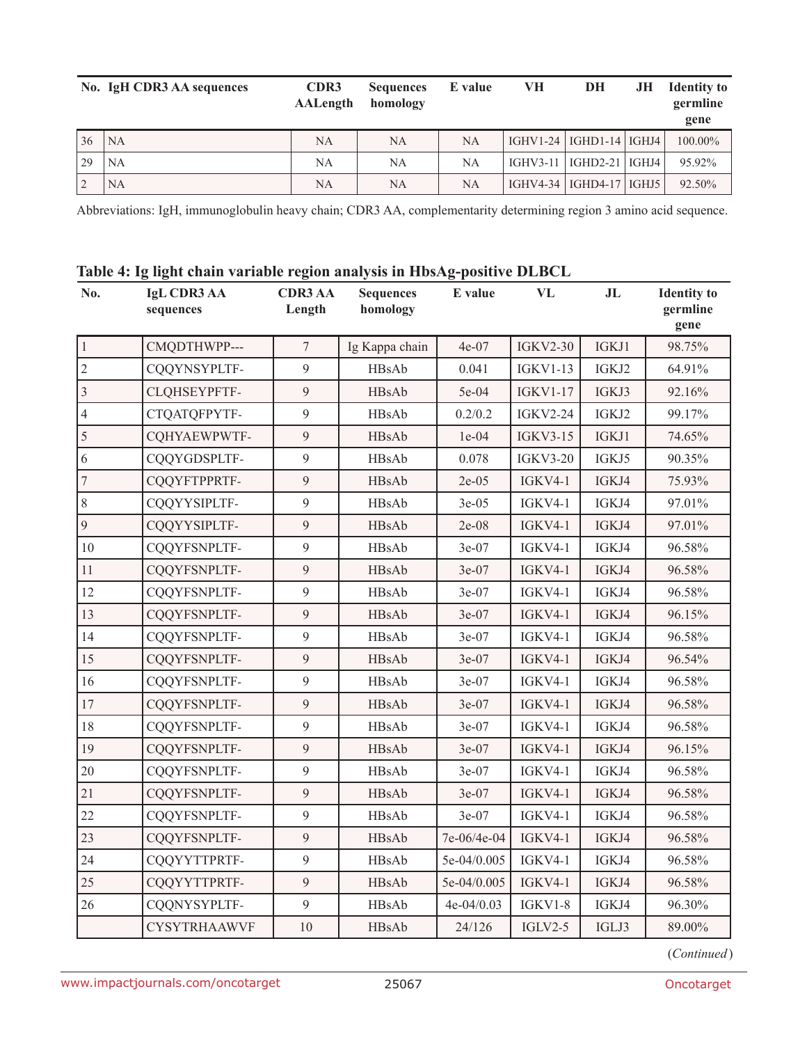|    | No. IgH CDR3 AA sequences | CDR <sub>3</sub><br><b>AALength</b> | <b>Sequences</b><br>homology | E value   | VН | DH                          | JН | <b>Identity to</b><br>germline<br>gene |
|----|---------------------------|-------------------------------------|------------------------------|-----------|----|-----------------------------|----|----------------------------------------|
| 36 | <b>NA</b>                 | <b>NA</b>                           | NA                           | <b>NA</b> |    | IGHV1-24   IGHD1-14   IGHJ4 |    | 100.00%                                |
| 29 | <b>NA</b>                 | NA                                  | NA                           | NA        |    | IGHV3-11   IGHD2-21   IGHJ4 |    | 95.92%                                 |
|    | NA                        | NA                                  | NA                           | <b>NA</b> |    | IGHV4-34   IGHD4-17   IGHJ5 |    | 92.50%                                 |

Abbreviations: IgH, immunoglobulin heavy chain; CDR3 AA, complementarity determining region 3 amino acid sequence.

|  |  | Table 4: Ig light chain variable region analysis in HbsAg-positive DLBCL |  |
|--|--|--------------------------------------------------------------------------|--|
|  |  |                                                                          |  |

| No.            | <b>IgL CDR3 AA</b><br>sequences | <b>CDR3 AA</b><br>Length | <b>Sequences</b><br>homology | E value     | <b>VL</b>       | J <sub>L</sub> | <b>Identity</b> to<br>germline<br>gene |
|----------------|---------------------------------|--------------------------|------------------------------|-------------|-----------------|----------------|----------------------------------------|
| $\mathbf{1}$   | CMQDTHWPP---                    | $\overline{7}$           | Ig Kappa chain               | $4e-07$     | <b>IGKV2-30</b> | IGKJ1          | 98.75%                                 |
| $\overline{2}$ | CQQYNSYPLTF-                    | 9                        | HBsAb                        | 0.041       | <b>IGKV1-13</b> | IGKJ2          | 64.91%                                 |
| $\overline{3}$ | CLQHSEYPFTF-                    | $\mathfrak{g}$           | HBsAb                        | 5e-04       | <b>IGKV1-17</b> | IGKJ3          | 92.16%                                 |
| $\overline{4}$ | CTQATQFPYTF-                    | 9                        | HBsAb                        | 0.2/0.2     | <b>IGKV2-24</b> | IGKJ2          | 99.17%                                 |
| 5              | CQHYAEWPWTF-                    | 9                        | HBsAb                        | $1e-04$     | <b>IGKV3-15</b> | IGKJ1          | 74.65%                                 |
| 6              | CQQYGDSPLTF-                    | $\mathfrak{g}$           | HBsAb                        | 0.078       | <b>IGKV3-20</b> | IGKJ5          | 90.35%                                 |
| $\overline{7}$ | CQQYFTPPRTF-                    | 9                        | HBsAb                        | $2e-05$     | IGKV4-1         | IGKJ4          | 75.93%                                 |
| 8              | CQQYYSIPLTF-                    | 9                        | HBsAb                        | $3e-05$     | IGKV4-1         | IGKJ4          | 97.01%                                 |
| 9              | CQQYYSIPLTF-                    | 9                        | HBsAb                        | $2e-08$     | IGKV4-1         | IGKJ4          | 97.01%                                 |
| 10             | CQQYFSNPLTF-                    | $\mathfrak{g}$           | HBsAb                        | 3e-07       | IGKV4-1         | IGKJ4          | 96.58%                                 |
| 11             | CQQYFSNPLTF-                    | 9                        | HBsAb                        | $3e-07$     | IGKV4-1         | IGKJ4          | 96.58%                                 |
| 12             | CQQYFSNPLTF-                    | 9                        | HBsAb                        | $3e-07$     | IGKV4-1         | IGKJ4          | 96.58%                                 |
| 13             | CQQYFSNPLTF-                    | 9                        | <b>HBsAb</b>                 | $3e-07$     | IGKV4-1         | IGKJ4          | 96.15%                                 |
| 14             | CQQYFSNPLTF-                    | $\mathfrak{g}$           | HBsAb                        | 3e-07       | IGKV4-1         | IGKJ4          | 96.58%                                 |
| 15             | CQQYFSNPLTF-                    | 9                        | HBsAb                        | 3e-07       | <b>IGKV4-1</b>  | IGKJ4          | 96.54%                                 |
| 16             | CQQYFSNPLTF-                    | 9                        | HBsAb                        | 3e-07       | <b>IGKV4-1</b>  | IGKJ4          | 96.58%                                 |
| 17             | CQQYFSNPLTF-                    | $\mathfrak{g}$           | HBsAb                        | 3e-07       | IGKV4-1         | IGKJ4          | 96.58%                                 |
| 18             | CQQYFSNPLTF-                    | 9                        | HBsAb                        | $3e-07$     | IGKV4-1         | IGKJ4          | 96.58%                                 |
| 19             | CQQYFSNPLTF-                    | 9                        | HBsAb                        | $3e-07$     | IGKV4-1         | IGKJ4          | 96.15%                                 |
| 20             | CQQYFSNPLTF-                    | 9                        | HBsAb                        | $3e-07$     | IGKV4-1         | IGKJ4          | 96.58%                                 |
| 21             | CQQYFSNPLTF-                    | $\mathfrak{g}$           | HBsAb                        | 3e-07       | IGKV4-1         | IGKJ4          | 96.58%                                 |
| 22             | CQQYFSNPLTF-                    | 9                        | HBsAb                        | $3e-07$     | IGKV4-1         | IGKJ4          | 96.58%                                 |
| 23             | CQQYFSNPLTF-                    | $\mathfrak{g}$           | <b>HBsAb</b>                 | 7e-06/4e-04 | IGKV4-1         | IGKJ4          | 96.58%                                 |
| 24             | CQQYYTTPRTF-                    | $\mathfrak{g}$           | HBsAb                        | 5e-04/0.005 | IGKV4-1         | IGKJ4          | 96.58%                                 |
| 25             | CQQYYTTPRTF-                    | 9                        | <b>HBsAb</b>                 | 5e-04/0.005 | <b>IGKV4-1</b>  | IGKJ4          | 96.58%                                 |
| 26             | CQQNYSYPLTF-                    | 9                        | HBsAb                        | 4e-04/0.03  | IGKV1-8         | IGKJ4          | 96.30%                                 |
|                | <b>CYSYTRHAAWVF</b>             | 10                       | <b>HBsAb</b>                 | 24/126      | $IGLV2-5$       | IGLJ3          | 89.00%                                 |

(*Continued*)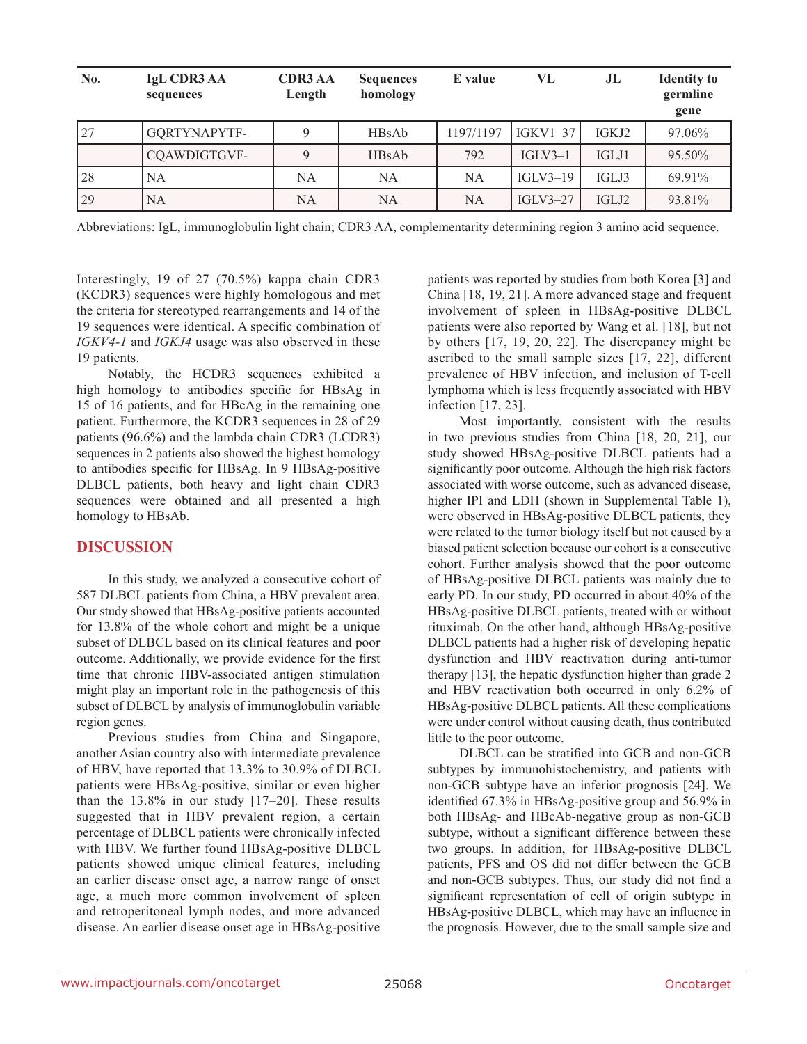| No. | <b>IgL CDR3 AA</b><br>sequences | <b>CDR3 AA</b><br>Length | <b>Sequences</b><br>homology | E value   | VL         | J <sub>L</sub> | <b>Identity</b> to<br>germline<br>gene |
|-----|---------------------------------|--------------------------|------------------------------|-----------|------------|----------------|----------------------------------------|
| 27  | GQRTYNAPYTF-                    | 9                        | <b>HBsAb</b>                 | 1197/1197 | IGKV1–37   | IGKJ2          | 97.06%                                 |
|     | CQAWDIGTGVF-                    | 9                        | <b>HBsAb</b>                 | 792       | $IGLV3-1$  | IGLJ1          | 95.50%                                 |
| 28  | NA                              | NA                       | NA                           | NA        | $IGLV3-19$ | IGLJ3          | 69.91%                                 |
| 29  | <b>NA</b>                       | NA                       | <b>NA</b>                    | <b>NA</b> | $IGLV3-27$ | IGLJ2          | 93.81%                                 |

Abbreviations: IgL, immunoglobulin light chain; CDR3 AA, complementarity determining region 3 amino acid sequence.

Interestingly, 19 of 27 (70.5%) kappa chain CDR3 (KCDR3) sequences were highly homologous and met the criteria for stereotyped rearrangements and 14 of the 19 sequences were identical. A specific combination of *IGKV4-1* and *IGKJ4* usage was also observed in these 19 patients.

Notably, the HCDR3 sequences exhibited a high homology to antibodies specific for HBsAg in 15 of 16 patients, and for HBcAg in the remaining one patient. Furthermore, the KCDR3 sequences in 28 of 29 patients (96.6%) and the lambda chain CDR3 (LCDR3) sequences in 2 patients also showed the highest homology to antibodies specific for HBsAg. In 9 HBsAg-positive DLBCL patients, both heavy and light chain CDR3 sequences were obtained and all presented a high homology to HBsAb.

### **DISCUSSION**

In this study, we analyzed a consecutive cohort of 587 DLBCL patients from China, a HBV prevalent area. Our study showed that HBsAg-positive patients accounted for 13.8% of the whole cohort and might be a unique subset of DLBCL based on its clinical features and poor outcome. Additionally, we provide evidence for the first time that chronic HBV-associated antigen stimulation might play an important role in the pathogenesis of this subset of DLBCL by analysis of immunoglobulin variable region genes.

Previous studies from China and Singapore, another Asian country also with intermediate prevalence of HBV, have reported that 13.3% to 30.9% of DLBCL patients were HBsAg-positive, similar or even higher than the 13.8% in our study [17–20]. These results suggested that in HBV prevalent region, a certain percentage of DLBCL patients were chronically infected with HBV. We further found HBsAg-positive DLBCL patients showed unique clinical features, including an earlier disease onset age, a narrow range of onset age, a much more common involvement of spleen and retroperitoneal lymph nodes, and more advanced disease. An earlier disease onset age in HBsAg-positive patients was reported by studies from both Korea [3] and China [18, 19, 21]. A more advanced stage and frequent involvement of spleen in HBsAg-positive DLBCL patients were also reported by Wang et al. [18], but not by others [17, 19, 20, 22]. The discrepancy might be ascribed to the small sample sizes [17, 22], different prevalence of HBV infection, and inclusion of T-cell lymphoma which is less frequently associated with HBV infection [17, 23].

Most importantly, consistent with the results in two previous studies from China [18, 20, 21], our study showed HBsAg-positive DLBCL patients had a significantly poor outcome. Although the high risk factors associated with worse outcome, such as advanced disease, higher IPI and LDH (shown in Supplemental Table 1), were observed in HBsAg-positive DLBCL patients, they were related to the tumor biology itself but not caused by a biased patient selection because our cohort is a consecutive cohort. Further analysis showed that the poor outcome of HBsAg-positive DLBCL patients was mainly due to early PD. In our study, PD occurred in about 40% of the HBsAg-positive DLBCL patients, treated with or without rituximab. On the other hand, although HBsAg-positive DLBCL patients had a higher risk of developing hepatic dysfunction and HBV reactivation during anti-tumor therapy [13], the hepatic dysfunction higher than grade 2 and HBV reactivation both occurred in only 6.2% of HBsAg-positive DLBCL patients. All these complications were under control without causing death, thus contributed little to the poor outcome.

DLBCL can be stratified into GCB and non-GCB subtypes by immunohistochemistry, and patients with non-GCB subtype have an inferior prognosis [24]. We identified 67.3% in HBsAg-positive group and 56.9% in both HBsAg- and HBcAb-negative group as non-GCB subtype, without a significant difference between these two groups. In addition, for HBsAg-positive DLBCL patients, PFS and OS did not differ between the GCB and non-GCB subtypes. Thus, our study did not find a significant representation of cell of origin subtype in HBsAg-positive DLBCL, which may have an influence in the prognosis. However, due to the small sample size and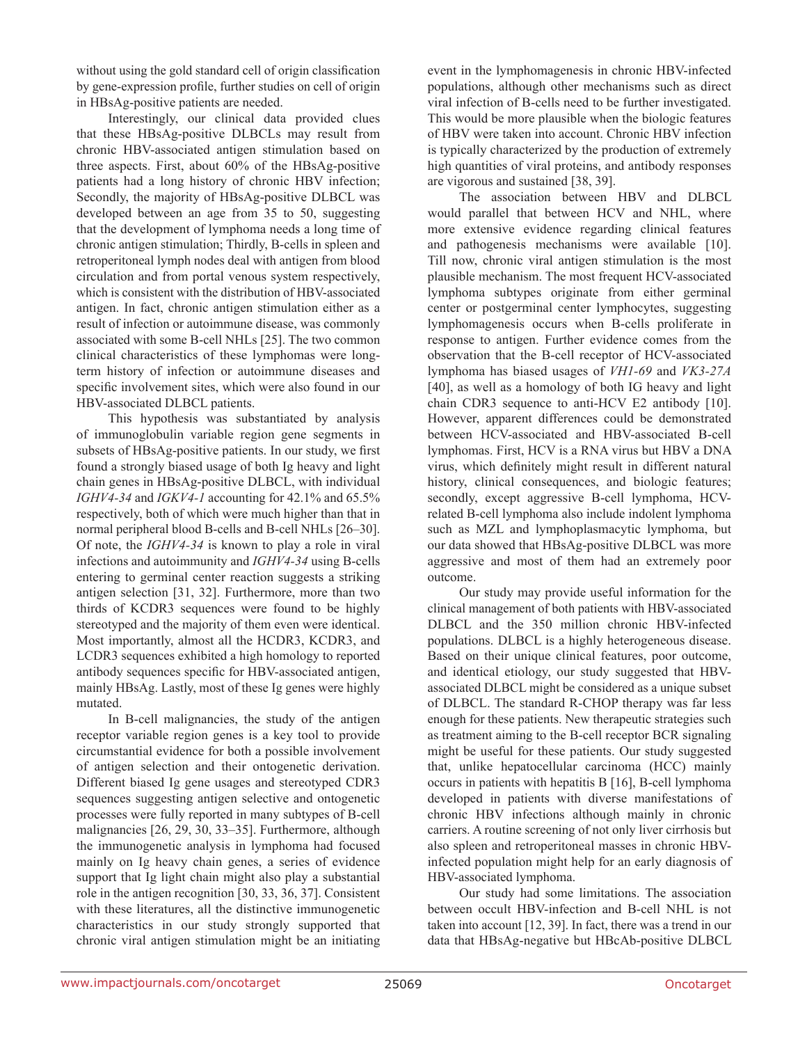without using the gold standard cell of origin classification by gene-expression profile, further studies on cell of origin in HBsAg-positive patients are needed.

Interestingly, our clinical data provided clues that these HBsAg-positive DLBCLs may result from chronic HBV-associated antigen stimulation based on three aspects. First, about 60% of the HBsAg-positive patients had a long history of chronic HBV infection; Secondly, the majority of HBsAg-positive DLBCL was developed between an age from 35 to 50, suggesting that the development of lymphoma needs a long time of chronic antigen stimulation; Thirdly, B-cells in spleen and retroperitoneal lymph nodes deal with antigen from blood circulation and from portal venous system respectively, which is consistent with the distribution of HBV-associated antigen. In fact, chronic antigen stimulation either as a result of infection or autoimmune disease, was commonly associated with some B-cell NHLs [25]. The two common clinical characteristics of these lymphomas were longterm history of infection or autoimmune diseases and specific involvement sites, which were also found in our HBV-associated DLBCL patients.

This hypothesis was substantiated by analysis of immunoglobulin variable region gene segments in subsets of HBsAg-positive patients. In our study, we first found a strongly biased usage of both Ig heavy and light chain genes in HBsAg-positive DLBCL, with individual *IGHV4-34* and *IGKV4-1* accounting for 42.1% and 65.5% respectively, both of which were much higher than that in normal peripheral blood B-cells and B-cell NHLs [26–30]. Of note, the *IGHV4-34* is known to play a role in viral infections and autoimmunity and *IGHV4-34* using B-cells entering to germinal center reaction suggests a striking antigen selection [31, 32]. Furthermore, more than two thirds of KCDR3 sequences were found to be highly stereotyped and the majority of them even were identical. Most importantly, almost all the HCDR3, KCDR3, and LCDR3 sequences exhibited a high homology to reported antibody sequences specific for HBV-associated antigen, mainly HBsAg. Lastly, most of these Ig genes were highly mutated.

In B-cell malignancies, the study of the antigen receptor variable region genes is a key tool to provide circumstantial evidence for both a possible involvement of antigen selection and their ontogenetic derivation. Different biased Ig gene usages and stereotyped CDR3 sequences suggesting antigen selective and ontogenetic processes were fully reported in many subtypes of B-cell malignancies [26, 29, 30, 33–35]. Furthermore, although the immunogenetic analysis in lymphoma had focused mainly on Ig heavy chain genes, a series of evidence support that Ig light chain might also play a substantial role in the antigen recognition [30, 33, 36, 37]. Consistent with these literatures, all the distinctive immunogenetic characteristics in our study strongly supported that chronic viral antigen stimulation might be an initiating event in the lymphomagenesis in chronic HBV-infected populations, although other mechanisms such as direct viral infection of B-cells need to be further investigated. This would be more plausible when the biologic features of HBV were taken into account. Chronic HBV infection is typically characterized by the production of extremely high quantities of viral proteins, and antibody responses are vigorous and sustained [38, 39].

The association between HBV and DLBCL would parallel that between HCV and NHL, where more extensive evidence regarding clinical features and pathogenesis mechanisms were available [10]. Till now, chronic viral antigen stimulation is the most plausible mechanism. The most frequent HCV-associated lymphoma subtypes originate from either germinal center or postgerminal center lymphocytes, suggesting lymphomagenesis occurs when B-cells proliferate in response to antigen. Further evidence comes from the observation that the B-cell receptor of HCV-associated lymphoma has biased usages of *VH1-69* and *VK3-27A* [40], as well as a homology of both IG heavy and light chain CDR3 sequence to anti-HCV E2 antibody [10]. However, apparent differences could be demonstrated between HCV-associated and HBV-associated B-cell lymphomas. First, HCV is a RNA virus but HBV a DNA virus, which definitely might result in different natural history, clinical consequences, and biologic features; secondly, except aggressive B-cell lymphoma, HCVrelated B-cell lymphoma also include indolent lymphoma such as MZL and lymphoplasmacytic lymphoma, but our data showed that HBsAg-positive DLBCL was more aggressive and most of them had an extremely poor outcome.

Our study may provide useful information for the clinical management of both patients with HBV-associated DLBCL and the 350 million chronic HBV-infected populations. DLBCL is a highly heterogeneous disease. Based on their unique clinical features, poor outcome, and identical etiology, our study suggested that HBVassociated DLBCL might be considered as a unique subset of DLBCL. The standard R-CHOP therapy was far less enough for these patients. New therapeutic strategies such as treatment aiming to the B-cell receptor BCR signaling might be useful for these patients. Our study suggested that, unlike hepatocellular carcinoma (HCC) mainly occurs in patients with hepatitis B [16], B-cell lymphoma developed in patients with diverse manifestations of chronic HBV infections although mainly in chronic carriers. A routine screening of not only liver cirrhosis but also spleen and retroperitoneal masses in chronic HBVinfected population might help for an early diagnosis of HBV-associated lymphoma.

Our study had some limitations. The association between occult HBV-infection and B-cell NHL is not taken into account [12, 39]. In fact, there was a trend in our data that HBsAg-negative but HBcAb-positive DLBCL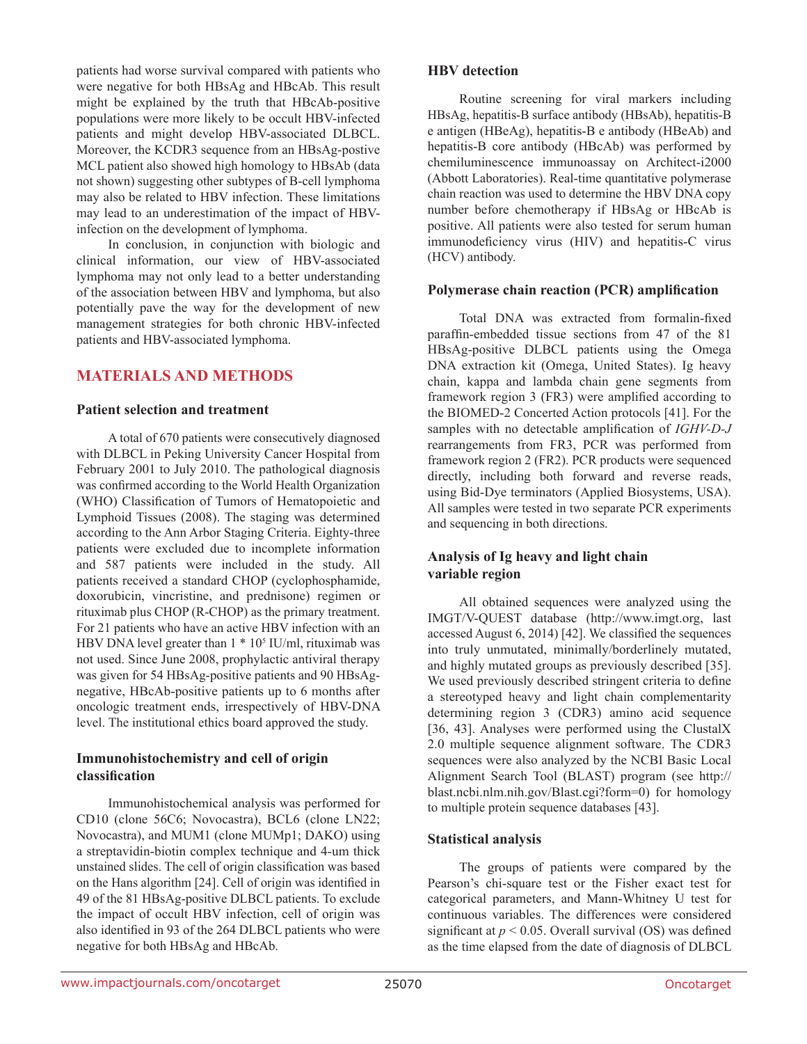patients had worse survival compared with patients who were negative for both HBsAg and HBcAb. This result might be explained by the truth that HBcAb-positive populations were more likely to be occult HBV-infected patients and might develop HBV-associated DLBCL. Moreover, the KCDR3 sequence from an HBsAg-postive MCL patient also showed high homology to HBsAb (data not shown) suggesting other subtypes of B-cell lymphoma may also be related to HBV infection. These limitations may lead to an underestimation of the impact of HBVinfection on the development of lymphoma.

In conclusion, in conjunction with biologic and clinical information, our view of HBV-associated lymphoma may not only lead to a better understanding of the association between HBV and lymphoma, but also potentially pave the way for the development of new management strategies for both chronic HBV-infected patients and HBV-associated lymphoma.

## **MATERIALS AND METHODS**

#### **Patient selection and treatment**

A total of 670 patients were consecutively diagnosed with DLBCL in Peking University Cancer Hospital from February 2001 to July 2010. The pathological diagnosis was confirmed according to the World Health Organization (WHO) Classification of Tumors of Hematopoietic and Lymphoid Tissues (2008). The staging was determined according to the Ann Arbor Staging Criteria. Eighty-three patients were excluded due to incomplete information and 587 patients were included in the study. All patients received a standard CHOP (cyclophosphamide, doxorubicin, vincristine, and prednisone) regimen or rituximab plus CHOP (R-CHOP) as the primary treatment. For 21 patients who have an active HBV infection with an HBV DNA level greater than  $1 * 10<sup>5</sup>$  IU/ml, rituximab was not used. Since June 2008, prophylactic antiviral therapy was given for 54 HBsAg-positive patients and 90 HBsAgnegative, HBcAb-positive patients up to 6 months after oncologic treatment ends, irrespectively of HBV-DNA level. The institutional ethics board approved the study.

### **Immunohistochemistry and cell of origin classification**

Immunohistochemical analysis was performed for CD10 (clone 56C6; Novocastra), BCL6 (clone LN22; Novocastra), and MUM1 (clone MUMp1; DAKO) using a streptavidin-biotin complex technique and 4-um thick unstained slides. The cell of origin classification was based on the Hans algorithm [24]. Cell of origin was identified in 49 of the 81 HBsAg-positive DLBCL patients. To exclude the impact of occult HBV infection, cell of origin was also identified in 93 of the 264 DLBCL patients who were negative for both HBsAg and HBcAb.

#### **HBV detection**

Routine screening for viral markers including HBsAg, hepatitis-B surface antibody (HBsAb), hepatitis-B e antigen (HBeAg), hepatitis-B e antibody (HBeAb) and hepatitis-B core antibody (HBcAb) was performed by chemiluminescence immunoassay on Architect-i2000 (Abbott Laboratories). Real-time quantitative polymerase chain reaction was used to determine the HBV DNA copy number before chemotherapy if HBsAg or HBcAb is positive. All patients were also tested for serum human immunodeficiency virus (HIV) and hepatitis-C virus (HCV) antibody.

#### **Polymerase chain reaction (PCR) amplification**

Total DNA was extracted from formalin-fixed paraffin-embedded tissue sections from 47 of the 81 HBsAg-positive DLBCL patients using the Omega DNA extraction kit (Omega, United States). Ig heavy chain, kappa and lambda chain gene segments from framework region 3 (FR3) were amplified according to the BIOMED-2 Concerted Action protocols [41]. For the samples with no detectable amplification of *IGHV-D-J* rearrangements from FR3, PCR was performed from framework region 2 (FR2). PCR products were sequenced directly, including both forward and reverse reads, using Bid-Dye terminators (Applied Biosystems, USA). All samples were tested in two separate PCR experiments and sequencing in both directions.

### **Analysis of Ig heavy and light chain variable region**

All obtained sequences were analyzed using the IMGT/V-QUEST database (http://www.imgt.org, last accessed August 6, 2014) [42]. We classified the sequences into truly unmutated, minimally/borderlinely mutated, and highly mutated groups as previously described [35]. We used previously described stringent criteria to define a stereotyped heavy and light chain complementarity determining region 3 (CDR3) amino acid sequence [36, 43]. Analyses were performed using the ClustalX 2.0 multiple sequence alignment software. The CDR3 sequences were also analyzed by the NCBI Basic Local Alignment Search Tool (BLAST) program (see http:// blast.ncbi.nlm.nih.gov/Blast.cgi?form=0) for homology to multiple protein sequence databases [43].

### **Statistical analysis**

The groups of patients were compared by the Pearson's chi-square test or the Fisher exact test for categorical parameters, and Mann-Whitney U test for continuous variables. The differences were considered significant at  $p < 0.05$ . Overall survival (OS) was defined as the time elapsed from the date of diagnosis of DLBCL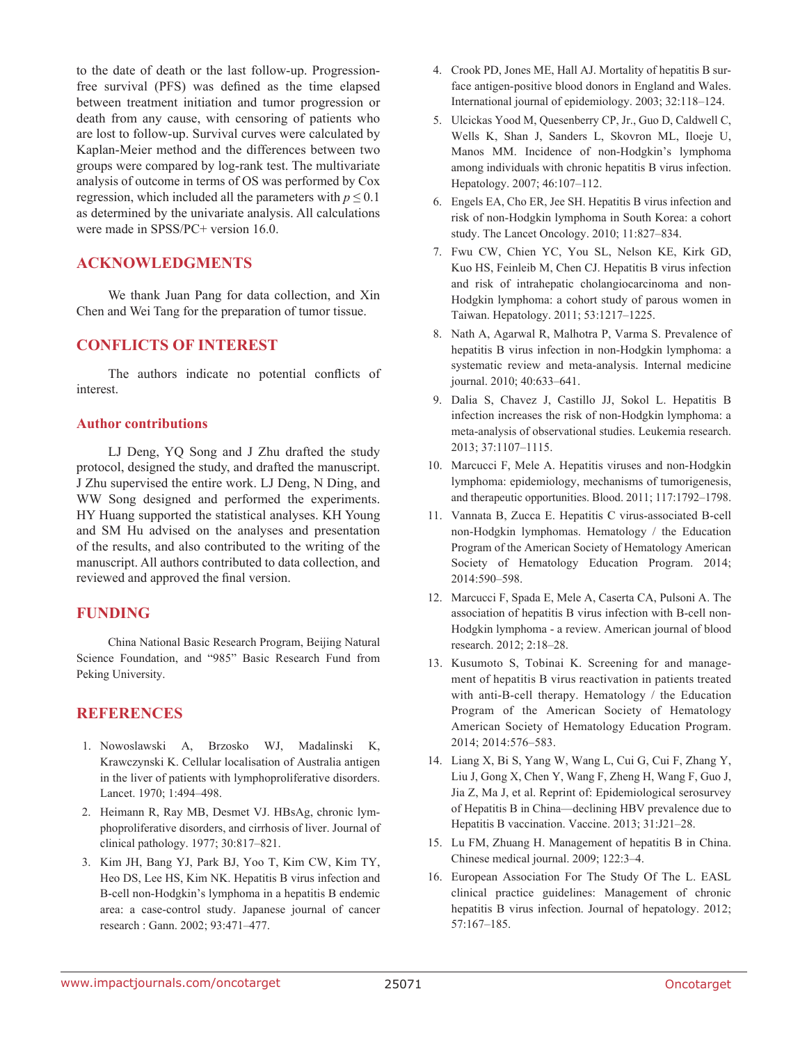to the date of death or the last follow-up. Progressionfree survival (PFS) was defined as the time elapsed between treatment initiation and tumor progression or death from any cause, with censoring of patients who are lost to follow-up. Survival curves were calculated by Kaplan-Meier method and the differences between two groups were compared by log-rank test. The multivariate analysis of outcome in terms of OS was performed by Cox regression, which included all the parameters with  $p \le 0.1$ as determined by the univariate analysis. All calculations were made in SPSS/PC+ version 16.0.

### **ACKNOWLEDGMENTS**

We thank Juan Pang for data collection, and Xin Chen and Wei Tang for the preparation of tumor tissue.

### **CONFLICTS OF INTEREST**

The authors indicate no potential conflicts of interest.

#### **Author contributions**

LJ Deng, YQ Song and J Zhu drafted the study protocol, designed the study, and drafted the manuscript. J Zhu supervised the entire work. LJ Deng, N Ding, and WW Song designed and performed the experiments. HY Huang supported the statistical analyses. KH Young and SM Hu advised on the analyses and presentation of the results, and also contributed to the writing of the manuscript. All authors contributed to data collection, and reviewed and approved the final version.

### **FUNDING**

China National Basic Research Program, Beijing Natural Science Foundation, and "985" Basic Research Fund from Peking University.

#### **REFERENCES**

- 1. Nowoslawski A, Brzosko WJ, Madalinski K, Krawczynski K. Cellular localisation of Australia antigen in the liver of patients with lymphoproliferative disorders. Lancet. 1970; 1:494–498.
- 2. Heimann R, Ray MB, Desmet VJ. HBsAg, chronic lymphoproliferative disorders, and cirrhosis of liver. Journal of clinical pathology. 1977; 30:817–821.
- 3. Kim JH, Bang YJ, Park BJ, Yoo T, Kim CW, Kim TY, Heo DS, Lee HS, Kim NK. Hepatitis B virus infection and B-cell non-Hodgkin's lymphoma in a hepatitis B endemic area: a case-control study. Japanese journal of cancer research : Gann. 2002; 93:471–477.
- 4. Crook PD, Jones ME, Hall AJ. Mortality of hepatitis B surface antigen-positive blood donors in England and Wales. International journal of epidemiology. 2003; 32:118–124.
- 5. Ulcickas Yood M, Quesenberry CP, Jr., Guo D, Caldwell C, Wells K, Shan J, Sanders L, Skovron ML, Iloeje U, Manos MM. Incidence of non-Hodgkin's lymphoma among individuals with chronic hepatitis B virus infection. Hepatology. 2007; 46:107–112.
- 6. Engels EA, Cho ER, Jee SH. Hepatitis B virus infection and risk of non-Hodgkin lymphoma in South Korea: a cohort study. The Lancet Oncology. 2010; 11:827–834.
- 7. Fwu CW, Chien YC, You SL, Nelson KE, Kirk GD, Kuo HS, Feinleib M, Chen CJ. Hepatitis B virus infection and risk of intrahepatic cholangiocarcinoma and non-Hodgkin lymphoma: a cohort study of parous women in Taiwan. Hepatology. 2011; 53:1217–1225.
- 8. Nath A, Agarwal R, Malhotra P, Varma S. Prevalence of hepatitis B virus infection in non-Hodgkin lymphoma: a systematic review and meta-analysis. Internal medicine journal. 2010; 40:633–641.
- 9. Dalia S, Chavez J, Castillo JJ, Sokol L. Hepatitis B infection increases the risk of non-Hodgkin lymphoma: a meta-analysis of observational studies. Leukemia research. 2013; 37:1107–1115.
- 10. Marcucci F, Mele A. Hepatitis viruses and non-Hodgkin lymphoma: epidemiology, mechanisms of tumorigenesis, and therapeutic opportunities. Blood. 2011; 117:1792–1798.
- 11. Vannata B, Zucca E. Hepatitis C virus-associated B-cell non-Hodgkin lymphomas. Hematology / the Education Program of the American Society of Hematology American Society of Hematology Education Program. 2014; 2014:590–598.
- 12. Marcucci F, Spada E, Mele A, Caserta CA, Pulsoni A. The association of hepatitis B virus infection with B-cell non-Hodgkin lymphoma - a review. American journal of blood research. 2012; 2:18–28.
- 13. Kusumoto S, Tobinai K. Screening for and management of hepatitis B virus reactivation in patients treated with anti-B-cell therapy. Hematology / the Education Program of the American Society of Hematology American Society of Hematology Education Program. 2014; 2014:576–583.
- 14. Liang X, Bi S, Yang W, Wang L, Cui G, Cui F, Zhang Y, Liu J, Gong X, Chen Y, Wang F, Zheng H, Wang F, Guo J, Jia Z, Ma J, et al. Reprint of: Epidemiological serosurvey of Hepatitis B in China—declining HBV prevalence due to Hepatitis B vaccination. Vaccine. 2013; 31:J21–28.
- 15. Lu FM, Zhuang H. Management of hepatitis B in China. Chinese medical journal. 2009; 122:3–4.
- 16. European Association For The Study Of The L. EASL clinical practice guidelines: Management of chronic hepatitis B virus infection. Journal of hepatology. 2012; 57:167–185.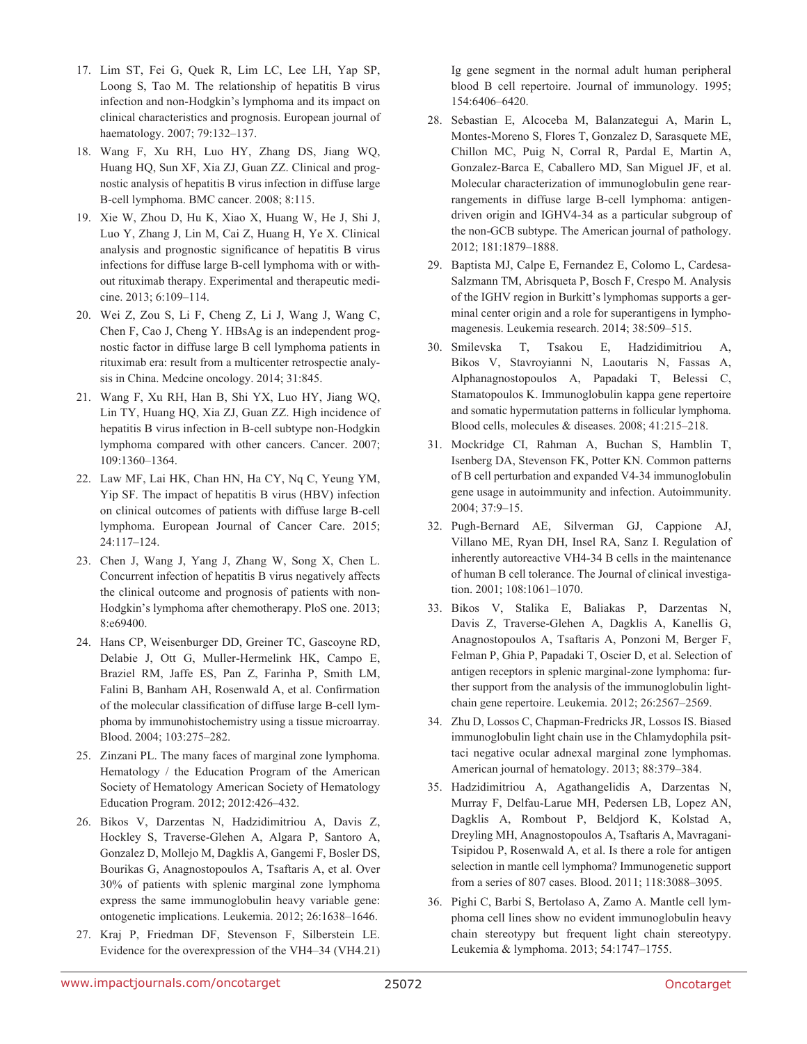- 17. Lim ST, Fei G, Quek R, Lim LC, Lee LH, Yap SP, Loong S, Tao M. The relationship of hepatitis B virus infection and non-Hodgkin's lymphoma and its impact on clinical characteristics and prognosis. European journal of haematology. 2007; 79:132–137.
- 18. Wang F, Xu RH, Luo HY, Zhang DS, Jiang WQ, Huang HQ, Sun XF, Xia ZJ, Guan ZZ. Clinical and prognostic analysis of hepatitis B virus infection in diffuse large B-cell lymphoma. BMC cancer. 2008; 8:115.
- 19. Xie W, Zhou D, Hu K, Xiao X, Huang W, He J, Shi J, Luo Y, Zhang J, Lin M, Cai Z, Huang H, Ye X. Clinical analysis and prognostic significance of hepatitis B virus infections for diffuse large B-cell lymphoma with or without rituximab therapy. Experimental and therapeutic medicine. 2013; 6:109–114.
- 20. Wei Z, Zou S, Li F, Cheng Z, Li J, Wang J, Wang C, Chen F, Cao J, Cheng Y. HBsAg is an independent prognostic factor in diffuse large B cell lymphoma patients in rituximab era: result from a multicenter retrospectie analysis in China. Medcine oncology. 2014; 31:845.
- 21. Wang F, Xu RH, Han B, Shi YX, Luo HY, Jiang WQ, Lin TY, Huang HQ, Xia ZJ, Guan ZZ. High incidence of hepatitis B virus infection in B-cell subtype non-Hodgkin lymphoma compared with other cancers. Cancer. 2007; 109:1360–1364.
- 22. Law MF, Lai HK, Chan HN, Ha CY, Nq C, Yeung YM, Yip SF. The impact of hepatitis B virus (HBV) infection on clinical outcomes of patients with diffuse large B-cell lymphoma. European Journal of Cancer Care. 2015; 24:117–124.
- 23. Chen J, Wang J, Yang J, Zhang W, Song X, Chen L. Concurrent infection of hepatitis B virus negatively affects the clinical outcome and prognosis of patients with non-Hodgkin's lymphoma after chemotherapy. PloS one. 2013; 8:e69400.
- 24. Hans CP, Weisenburger DD, Greiner TC, Gascoyne RD, Delabie J, Ott G, Muller-Hermelink HK, Campo E, Braziel RM, Jaffe ES, Pan Z, Farinha P, Smith LM, Falini B, Banham AH, Rosenwald A, et al. Confirmation of the molecular classification of diffuse large B-cell lymphoma by immunohistochemistry using a tissue microarray. Blood. 2004; 103:275–282.
- 25. Zinzani PL. The many faces of marginal zone lymphoma. Hematology / the Education Program of the American Society of Hematology American Society of Hematology Education Program. 2012; 2012:426–432.
- 26. Bikos V, Darzentas N, Hadzidimitriou A, Davis Z, Hockley S, Traverse-Glehen A, Algara P, Santoro A, Gonzalez D, Mollejo M, Dagklis A, Gangemi F, Bosler DS, Bourikas G, Anagnostopoulos A, Tsaftaris A, et al. Over 30% of patients with splenic marginal zone lymphoma express the same immunoglobulin heavy variable gene: ontogenetic implications. Leukemia. 2012; 26:1638–1646.
- 27. Kraj P, Friedman DF, Stevenson F, Silberstein LE. Evidence for the overexpression of the VH4–34 (VH4.21)

Ig gene segment in the normal adult human peripheral blood B cell repertoire. Journal of immunology. 1995; 154:6406–6420.

- 28. Sebastian E, Alcoceba M, Balanzategui A, Marin L, Montes-Moreno S, Flores T, Gonzalez D, Sarasquete ME, Chillon MC, Puig N, Corral R, Pardal E, Martin A, Gonzalez-Barca E, Caballero MD, San Miguel JF, et al. Molecular characterization of immunoglobulin gene rearrangements in diffuse large B-cell lymphoma: antigendriven origin and IGHV4-34 as a particular subgroup of the non-GCB subtype. The American journal of pathology. 2012; 181:1879–1888.
- 29. Baptista MJ, Calpe E, Fernandez E, Colomo L, Cardesa-Salzmann TM, Abrisqueta P, Bosch F, Crespo M. Analysis of the IGHV region in Burkitt's lymphomas supports a germinal center origin and a role for superantigens in lymphomagenesis. Leukemia research. 2014; 38:509–515.
- 30. Smilevska T, Tsakou E, Hadzidimitriou A, Bikos V, Stavroyianni N, Laoutaris N, Fassas A, Alphanagnostopoulos A, Papadaki T, Belessi C, Stamatopoulos K. Immunoglobulin kappa gene repertoire and somatic hypermutation patterns in follicular lymphoma. Blood cells, molecules & diseases. 2008; 41:215–218.
- 31. Mockridge CI, Rahman A, Buchan S, Hamblin T, Isenberg DA, Stevenson FK, Potter KN. Common patterns of B cell perturbation and expanded V4-34 immunoglobulin gene usage in autoimmunity and infection. Autoimmunity. 2004; 37:9–15.
- 32. Pugh-Bernard AE, Silverman GJ, Cappione AJ, Villano ME, Ryan DH, Insel RA, Sanz I. Regulation of inherently autoreactive VH4-34 B cells in the maintenance of human B cell tolerance. The Journal of clinical investigation. 2001; 108:1061–1070.
- 33. Bikos V, Stalika E, Baliakas P, Darzentas N, Davis Z, Traverse-Glehen A, Dagklis A, Kanellis G, Anagnostopoulos A, Tsaftaris A, Ponzoni M, Berger F, Felman P, Ghia P, Papadaki T, Oscier D, et al. Selection of antigen receptors in splenic marginal-zone lymphoma: further support from the analysis of the immunoglobulin lightchain gene repertoire. Leukemia. 2012; 26:2567–2569.
- 34. Zhu D, Lossos C, Chapman-Fredricks JR, Lossos IS. Biased immunoglobulin light chain use in the Chlamydophila psittaci negative ocular adnexal marginal zone lymphomas. American journal of hematology. 2013; 88:379–384.
- 35. Hadzidimitriou A, Agathangelidis A, Darzentas N, Murray F, Delfau-Larue MH, Pedersen LB, Lopez AN, Dagklis A, Rombout P, Beldjord K, Kolstad A, Dreyling MH, Anagnostopoulos A, Tsaftaris A, Mavragani-Tsipidou P, Rosenwald A, et al. Is there a role for antigen selection in mantle cell lymphoma? Immunogenetic support from a series of 807 cases. Blood. 2011; 118:3088–3095.
- 36. Pighi C, Barbi S, Bertolaso A, Zamo A. Mantle cell lymphoma cell lines show no evident immunoglobulin heavy chain stereotypy but frequent light chain stereotypy. Leukemia & lymphoma. 2013; 54:1747–1755.